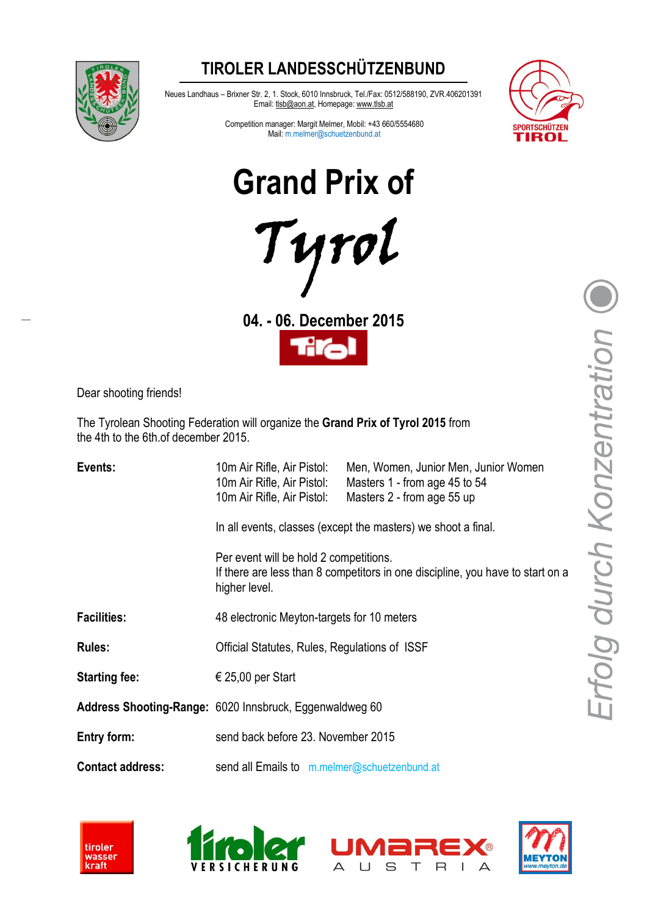### **TIROLER LANDESSCHÜTZENBUND**



Neues Landhaus – Brixner Str. 2, 1. Stock, 6010 Innsbruck, Tel./Fax: 0512/588190, ZVR.406201391 Email: tlsb@aon.at, Homepage: www.tlsb.at



Competition manager: Margit Melmer, Mobil: +43 660/5554680 Mail: m.melmer@schuetzenbund.at

**Grand Prix of**



**04. - 06. December 2015**



Dear shooting friends!

The Tyrolean Shooting Federation will organize the **Grand Prix of Tyrol 2015** from the 4th to the 6th.of december 2015.

| Events:                 | 10m Air Rifle, Air Pistol:<br>10m Air Rifle, Air Pistol:<br>10m Air Rifle, Air Pistol:                                                                                                                     | Men, Women, Junior Men, Junior Women<br>Masters 1 - from age 45 to 54<br>Masters 2 - from age 55 up |
|-------------------------|------------------------------------------------------------------------------------------------------------------------------------------------------------------------------------------------------------|-----------------------------------------------------------------------------------------------------|
|                         | In all events, classes (except the masters) we shoot a final.<br>Per event will be hold 2 competitions.<br>If there are less than 8 competitors in one discipline, you have to start on a<br>higher level. |                                                                                                     |
|                         |                                                                                                                                                                                                            |                                                                                                     |
| <b>Facilities:</b>      | 48 electronic Meyton-targets for 10 meters                                                                                                                                                                 |                                                                                                     |
| <b>Rules:</b>           | Official Statutes, Rules, Regulations of ISSF                                                                                                                                                              |                                                                                                     |
| <b>Starting fee:</b>    | € 25,00 per Start                                                                                                                                                                                          |                                                                                                     |
|                         | Address Shooting-Range: 6020 Innsbruck, Eggenwaldweg 60                                                                                                                                                    |                                                                                                     |
| Entry form:             | send back before 23. November 2015                                                                                                                                                                         |                                                                                                     |
| <b>Contact address:</b> | send all Emails to m.melmer@schuetzenbund.at                                                                                                                                                               |                                                                                                     |







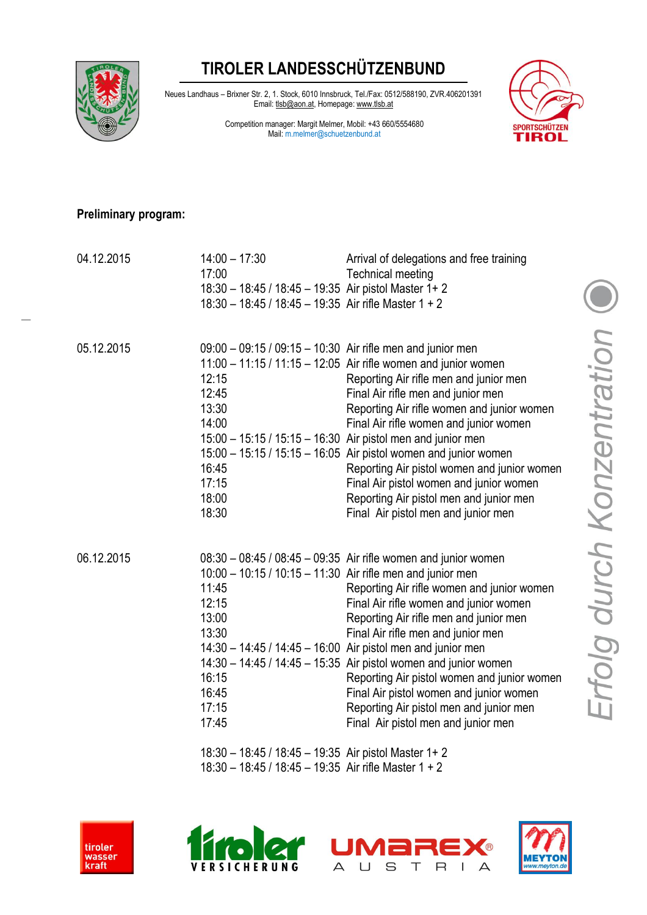## **TIROLER LANDESSCHÜTZENBUND**



Neues Landhaus – Brixner Str. 2, 1. Stock, 6010 Innsbruck, Tel./Fax: 0512/588190, ZVR.406201391 Email: tlsb@aon.at, Homepage: www.tlsb.at

> Competition manager: Margit Melmer, Mobil: +43 660/5554680 Mail: m.melmer@schuetzenbund.at



#### **Preliminary program:**

| 04.12.2015 | $14:00 - 17:30$<br>17:00<br>18:30 - 18:45 / 18:45 - 19:35 Air pistol Master 1+ 2<br>$18:30 - 18:45 / 18:45 - 19:35$ Air rifle Master 1 + 2                                                                                                                                                                                                                                                                                                                                                                                                                                                                                  | Arrival of delegations and free training<br><b>Technical meeting</b>                                                                                                                                                                                                                                                                                                                                                                                                                                                                                   |
|------------|-----------------------------------------------------------------------------------------------------------------------------------------------------------------------------------------------------------------------------------------------------------------------------------------------------------------------------------------------------------------------------------------------------------------------------------------------------------------------------------------------------------------------------------------------------------------------------------------------------------------------------|--------------------------------------------------------------------------------------------------------------------------------------------------------------------------------------------------------------------------------------------------------------------------------------------------------------------------------------------------------------------------------------------------------------------------------------------------------------------------------------------------------------------------------------------------------|
| 05.12.2015 | $09:00 - 09:15 / 09:15 - 10:30$ Air rifle men and junior men<br>12:15<br>12:45<br>13:30<br>14:00<br>16:45<br>17:15<br>18:00<br>18:30                                                                                                                                                                                                                                                                                                                                                                                                                                                                                        | 11:00 - 11:15 / 11:15 - 12:05 Air rifle women and junior women<br>Reporting Air rifle men and junior men<br>Final Air rifle men and junior men<br>Reporting Air rifle women and junior women<br>Final Air rifle women and junior women<br>15:00 - 15:15 / 15:15 - 16:30 Air pistol men and junior men<br>15:00 - 15:15 / 15:15 - 16:05 Air pistol women and junior women<br>Reporting Air pistol women and junior women<br>Final Air pistol women and junior women<br>Reporting Air pistol men and junior men<br>Final Air pistol men and junior men   |
| 06.12.2015 | 10:00 - 10:15 / 10:15 - 11:30 Air rifle men and junior men<br>11:45<br>12:15<br>13:00<br>13:30<br>16:15<br>16:45<br>17:15<br>17:45<br>$\mathbf{1} \cdot \mathbf{1} \cdot \mathbf{1} \cdot \mathbf{1} \cdot \mathbf{1} \cdot \mathbf{1} \cdot \mathbf{1} \cdot \mathbf{1} \cdot \mathbf{1} \cdot \mathbf{1} \cdot \mathbf{1} \cdot \mathbf{1} \cdot \mathbf{1} \cdot \mathbf{1} \cdot \mathbf{1} \cdot \mathbf{1} \cdot \mathbf{1} \cdot \mathbf{1} \cdot \mathbf{1} \cdot \mathbf{1} \cdot \mathbf{1} \cdot \mathbf{1} \cdot \mathbf{1} \cdot \mathbf{1} \cdot \mathbf{1} \cdot \mathbf{1} \cdot \mathbf{1} \cdot \mathbf{$ | $08:30 - 08:45 / 08:45 - 09:35$ Air rifle women and junior women<br>Reporting Air rifle women and junior women<br>Final Air rifle women and junior women<br>Reporting Air rifle men and junior men<br>Final Air rifle men and junior men<br>14:30 - 14:45 / 14:45 - 16:00 Air pistol men and junior men<br>14:30 - 14:45 / 14:45 - 15:35 Air pistol women and junior women<br>Reporting Air pistol women and junior women<br>Final Air pistol women and junior women<br>Reporting Air pistol men and junior men<br>Final Air pistol men and junior men |

18:30 – 18:45 / 18:45 – 19:35 Air pistol Master 1+ 2 18:30 – 18:45 / 18:45 – 19:35 Air rifle Master 1 + 2